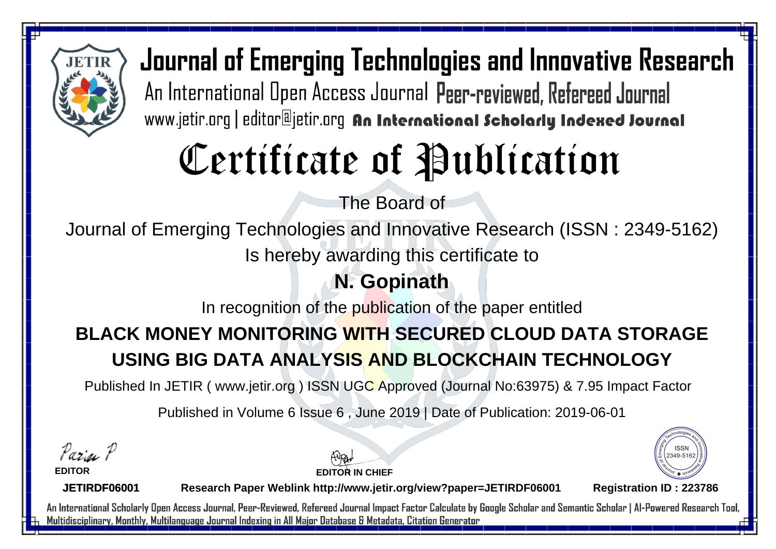

# Certificate of Publication

The Board of

Journal of Emerging Technologies and Innovative Research (ISSN : 2349-5162)

Is hereby awarding this certificate to

### **N. Gopinath**

In recognition of the publication of the paper entitled

## **BLACK MONEY MONITORING WITH SECURED CLOUD DATA STORAGE USING BIG DATA ANALYSIS AND BLOCKCHAIN TECHNOLOGY**

Published In JETIR ( www.jetir.org ) ISSN UGC Approved (Journal No: 63975) & 7.95 Impact Factor

Published in Volume 6 Issue 6 , June 2019 | Date of Publication: 2019-06-01

Parin P

**EDITOR**

**EDITOR IN CHIEF**



**JETIRDF06001**

**Research Paper Weblink http://www.jetir.org/view?paper=JETIRDF06001 Registration ID : 223786**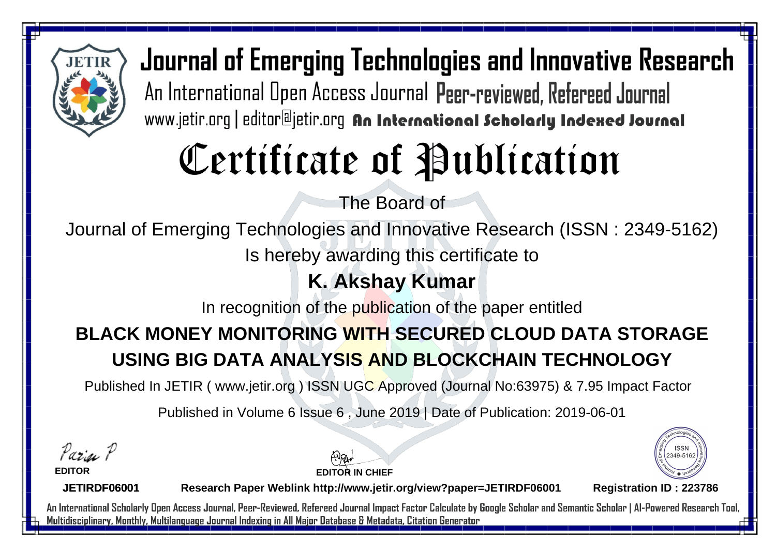

# Certificate of Publication

The Board of

Journal of Emerging Technologies and Innovative Research (ISSN : 2349-5162)

Is hereby awarding this certificate to

### **K. Akshay Kumar**

In recognition of the publication of the paper entitled

## **BLACK MONEY MONITORING WITH SECURED CLOUD DATA STORAGE USING BIG DATA ANALYSIS AND BLOCKCHAIN TECHNOLOGY**

Published In JETIR ( www.jetir.org ) ISSN UGC Approved (Journal No: 63975) & 7.95 Impact Factor

Published in Volume 6 Issue 6 , June 2019 | Date of Publication: 2019-06-01

Parin P

**EDITOR**

**EDITOR IN CHIEF**



**JETIRDF06001**

**Research Paper Weblink http://www.jetir.org/view?paper=JETIRDF06001 Registration ID : 223786**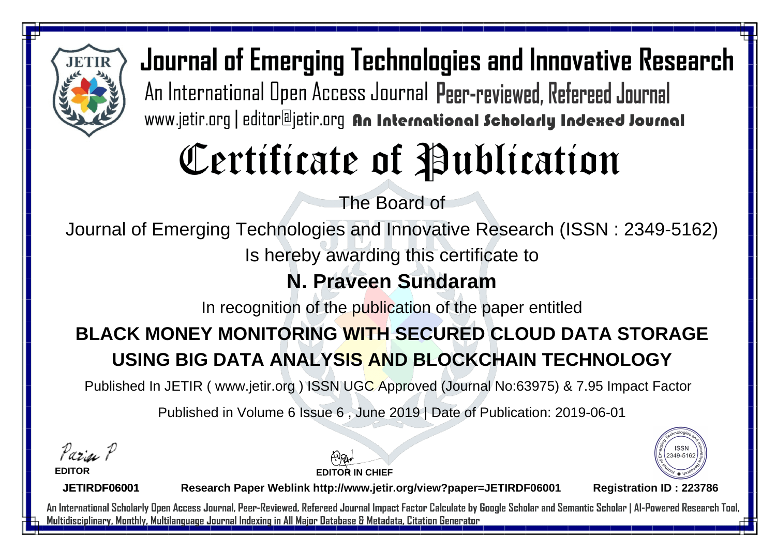

# Certificate of Publication

The Board of

Journal of Emerging Technologies and Innovative Research (ISSN : 2349-5162)

Is hereby awarding this certificate to

### **N. Praveen Sundaram**

In recognition of the publication of the paper entitled

## **BLACK MONEY MONITORING WITH SECURED CLOUD DATA STORAGE USING BIG DATA ANALYSIS AND BLOCKCHAIN TECHNOLOGY**

Published In JETIR ( www.jetir.org ) ISSN UGC Approved (Journal No: 63975) & 7.95 Impact Factor

Published in Volume 6 Issue 6 , June 2019 | Date of Publication: 2019-06-01

Parin P

**EDITOR**

**EDITOR IN CHIEF**



**JETIRDF06001**

**Research Paper Weblink http://www.jetir.org/view?paper=JETIRDF06001 Registration ID : 223786**